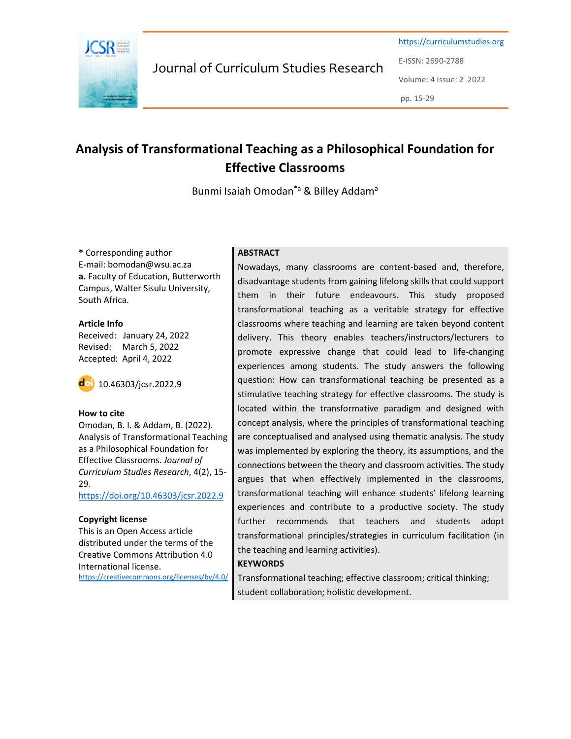

Journal of Curriculum Studies Research

https://curriculumstudies.org E-ISSN: 2690-2788 Volume: 4 Issue: 2 2022

pp. 15-29

# Analysis of Transformational Teaching as a Philosophical Foundation for Effective Classrooms

Bunmi Isaiah Omodan<sup>\*a</sup> & Billey Addam<sup>a</sup>

\* Corresponding author E-mail: bomodan@wsu.ac.za a. Faculty of Education, Butterworth Campus, Walter Sisulu University, South Africa.

Article Info Received: January 24, 2022 Revised: March 5, 2022 Accepted: April 4, 2022



#### How to cite

Omodan, B. I. & Addam, B. (2022). Analysis of Transformational Teaching as a Philosophical Foundation for Effective Classrooms. Journal of Curriculum Studies Research, 4(2), 15- 29.

https://doi.org/10.46303/jcsr.2022.9

#### Copyright license

This is an Open Access article distributed under the terms of the Creative Commons Attribution 4.0 International license. https://creativecommons.org/licenses/by/4.0/

#### **ABSTRACT**

Nowadays, many classrooms are content-based and, therefore, disadvantage students from gaining lifelong skills that could support them in their future endeavours. This study proposed transformational teaching as a veritable strategy for effective classrooms where teaching and learning are taken beyond content delivery. This theory enables teachers/instructors/lecturers to promote expressive change that could lead to life-changing experiences among students. The study answers the following question: How can transformational teaching be presented as a stimulative teaching strategy for effective classrooms. The study is located within the transformative paradigm and designed with concept analysis, where the principles of transformational teaching are conceptualised and analysed using thematic analysis. The study was implemented by exploring the theory, its assumptions, and the connections between the theory and classroom activities. The study argues that when effectively implemented in the classrooms, transformational teaching will enhance students' lifelong learning experiences and contribute to a productive society. The study further recommends that teachers and students adopt transformational principles/strategies in curriculum facilitation (in the teaching and learning activities).

# **KEYWORDS**

Transformational teaching; effective classroom; critical thinking; student collaboration; holistic development.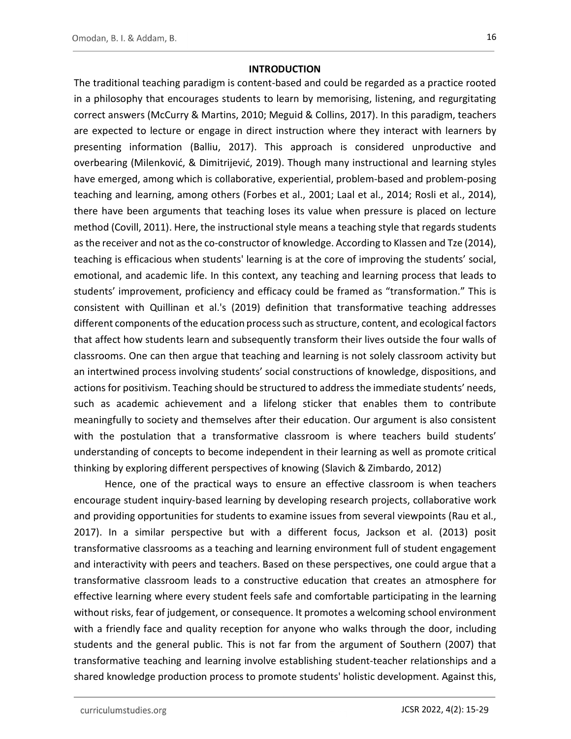#### **INTRODUCTION**

The traditional teaching paradigm is content-based and could be regarded as a practice rooted in a philosophy that encourages students to learn by memorising, listening, and regurgitating correct answers (McCurry & Martins, 2010; Meguid & Collins, 2017). In this paradigm, teachers are expected to lecture or engage in direct instruction where they interact with learners by presenting information (Balliu, 2017). This approach is considered unproductive and overbearing (Milenković, & Dimitrijević, 2019). Though many instructional and learning styles have emerged, among which is collaborative, experiential, problem-based and problem-posing teaching and learning, among others (Forbes et al., 2001; Laal et al., 2014; Rosli et al., 2014), there have been arguments that teaching loses its value when pressure is placed on lecture method (Covill, 2011). Here, the instructional style means a teaching style that regards students as the receiver and not as the co-constructor of knowledge. According to Klassen and Tze (2014), teaching is efficacious when students' learning is at the core of improving the students' social, emotional, and academic life. In this context, any teaching and learning process that leads to students' improvement, proficiency and efficacy could be framed as "transformation." This is consistent with Quillinan et al.'s (2019) definition that transformative teaching addresses different components of the education process such as structure, content, and ecological factors that affect how students learn and subsequently transform their lives outside the four walls of classrooms. One can then argue that teaching and learning is not solely classroom activity but an intertwined process involving students' social constructions of knowledge, dispositions, and actions for positivism. Teaching should be structured to address the immediate students' needs, such as academic achievement and a lifelong sticker that enables them to contribute meaningfully to society and themselves after their education. Our argument is also consistent with the postulation that a transformative classroom is where teachers build students' understanding of concepts to become independent in their learning as well as promote critical thinking by exploring different perspectives of knowing (Slavich & Zimbardo, 2012)

Hence, one of the practical ways to ensure an effective classroom is when teachers encourage student inquiry-based learning by developing research projects, collaborative work and providing opportunities for students to examine issues from several viewpoints (Rau et al., 2017). In a similar perspective but with a different focus, Jackson et al. (2013) posit transformative classrooms as a teaching and learning environment full of student engagement and interactivity with peers and teachers. Based on these perspectives, one could argue that a transformative classroom leads to a constructive education that creates an atmosphere for effective learning where every student feels safe and comfortable participating in the learning without risks, fear of judgement, or consequence. It promotes a welcoming school environment with a friendly face and quality reception for anyone who walks through the door, including students and the general public. This is not far from the argument of Southern (2007) that transformative teaching and learning involve establishing student-teacher relationships and a shared knowledge production process to promote students' holistic development. Against this,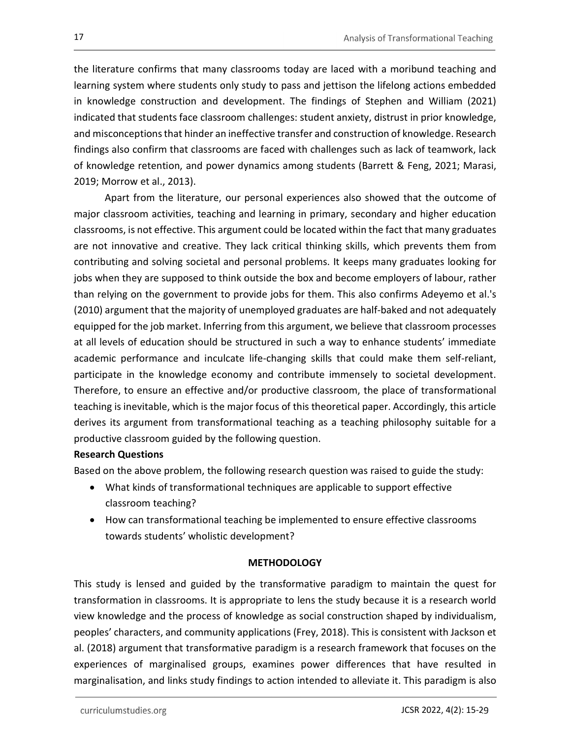the literature confirms that many classrooms today are laced with a moribund teaching and learning system where students only study to pass and jettison the lifelong actions embedded in knowledge construction and development. The findings of Stephen and William (2021) indicated that students face classroom challenges: student anxiety, distrust in prior knowledge, and misconceptions that hinder an ineffective transfer and construction of knowledge. Research findings also confirm that classrooms are faced with challenges such as lack of teamwork, lack of knowledge retention, and power dynamics among students (Barrett & Feng, 2021; Marasi, 2019; Morrow et al., 2013).

Apart from the literature, our personal experiences also showed that the outcome of major classroom activities, teaching and learning in primary, secondary and higher education classrooms, is not effective. This argument could be located within the fact that many graduates are not innovative and creative. They lack critical thinking skills, which prevents them from contributing and solving societal and personal problems. It keeps many graduates looking for jobs when they are supposed to think outside the box and become employers of labour, rather than relying on the government to provide jobs for them. This also confirms Adeyemo et al.'s (2010) argument that the majority of unemployed graduates are half-baked and not adequately equipped for the job market. Inferring from this argument, we believe that classroom processes at all levels of education should be structured in such a way to enhance students' immediate academic performance and inculcate life-changing skills that could make them self-reliant, participate in the knowledge economy and contribute immensely to societal development. Therefore, to ensure an effective and/or productive classroom, the place of transformational teaching is inevitable, which is the major focus of this theoretical paper. Accordingly, this article derives its argument from transformational teaching as a teaching philosophy suitable for a productive classroom guided by the following question.

# Research Questions

Based on the above problem, the following research question was raised to guide the study:

- What kinds of transformational techniques are applicable to support effective classroom teaching?
- How can transformational teaching be implemented to ensure effective classrooms towards students' wholistic development?

# METHODOLOGY

This study is lensed and guided by the transformative paradigm to maintain the quest for transformation in classrooms. It is appropriate to lens the study because it is a research world view knowledge and the process of knowledge as social construction shaped by individualism, peoples' characters, and community applications (Frey, 2018). This is consistent with Jackson et al. (2018) argument that transformative paradigm is a research framework that focuses on the experiences of marginalised groups, examines power differences that have resulted in marginalisation, and links study findings to action intended to alleviate it. This paradigm is also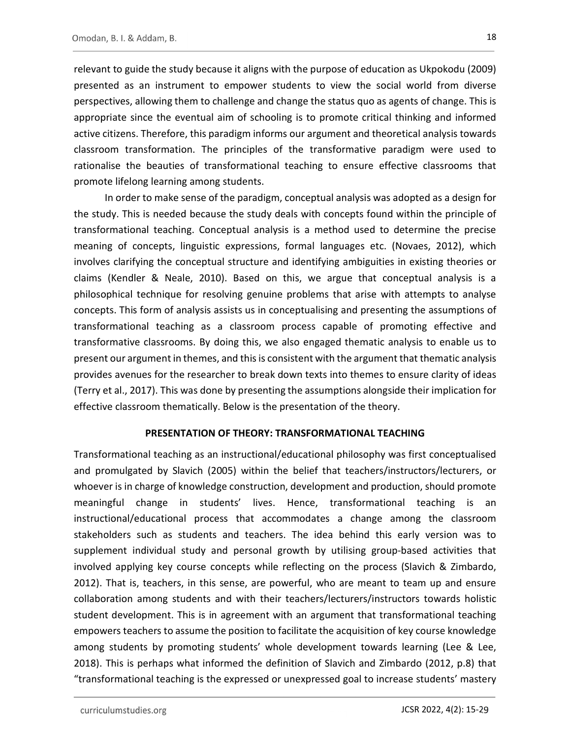relevant to guide the study because it aligns with the purpose of education as Ukpokodu (2009) presented as an instrument to empower students to view the social world from diverse perspectives, allowing them to challenge and change the status quo as agents of change. This is appropriate since the eventual aim of schooling is to promote critical thinking and informed active citizens. Therefore, this paradigm informs our argument and theoretical analysis towards classroom transformation. The principles of the transformative paradigm were used to rationalise the beauties of transformational teaching to ensure effective classrooms that promote lifelong learning among students.

In order to make sense of the paradigm, conceptual analysis was adopted as a design for the study. This is needed because the study deals with concepts found within the principle of transformational teaching. Conceptual analysis is a method used to determine the precise meaning of concepts, linguistic expressions, formal languages etc. (Novaes, 2012), which involves clarifying the conceptual structure and identifying ambiguities in existing theories or claims (Kendler & Neale, 2010). Based on this, we argue that conceptual analysis is a philosophical technique for resolving genuine problems that arise with attempts to analyse concepts. This form of analysis assists us in conceptualising and presenting the assumptions of transformational teaching as a classroom process capable of promoting effective and transformative classrooms. By doing this, we also engaged thematic analysis to enable us to present our argument in themes, and this is consistent with the argument that thematic analysis provides avenues for the researcher to break down texts into themes to ensure clarity of ideas (Terry et al., 2017). This was done by presenting the assumptions alongside their implication for effective classroom thematically. Below is the presentation of the theory.

# PRESENTATION OF THEORY: TRANSFORMATIONAL TEACHING

Transformational teaching as an instructional/educational philosophy was first conceptualised and promulgated by Slavich (2005) within the belief that teachers/instructors/lecturers, or whoever is in charge of knowledge construction, development and production, should promote meaningful change in students' lives. Hence, transformational teaching is an instructional/educational process that accommodates a change among the classroom stakeholders such as students and teachers. The idea behind this early version was to supplement individual study and personal growth by utilising group-based activities that involved applying key course concepts while reflecting on the process (Slavich & Zimbardo, 2012). That is, teachers, in this sense, are powerful, who are meant to team up and ensure collaboration among students and with their teachers/lecturers/instructors towards holistic student development. This is in agreement with an argument that transformational teaching empowers teachers to assume the position to facilitate the acquisition of key course knowledge among students by promoting students' whole development towards learning (Lee & Lee, 2018). This is perhaps what informed the definition of Slavich and Zimbardo (2012, p.8) that "transformational teaching is the expressed or unexpressed goal to increase students' mastery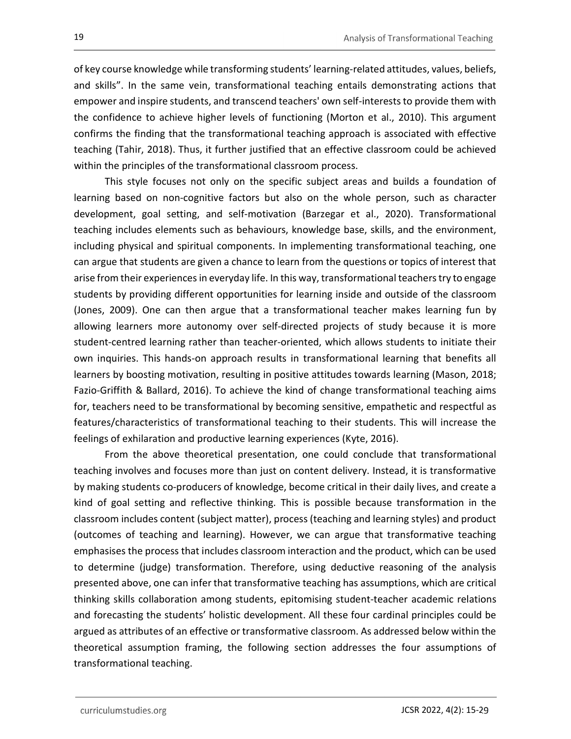of key course knowledge while transforming students' learning-related attitudes, values, beliefs, and skills". In the same vein, transformational teaching entails demonstrating actions that empower and inspire students, and transcend teachers' own self-interests to provide them with the confidence to achieve higher levels of functioning (Morton et al., 2010). This argument confirms the finding that the transformational teaching approach is associated with effective teaching (Tahir, 2018). Thus, it further justified that an effective classroom could be achieved within the principles of the transformational classroom process.

This style focuses not only on the specific subject areas and builds a foundation of learning based on non-cognitive factors but also on the whole person, such as character development, goal setting, and self-motivation (Barzegar et al., 2020). Transformational teaching includes elements such as behaviours, knowledge base, skills, and the environment, including physical and spiritual components. In implementing transformational teaching, one can argue that students are given a chance to learn from the questions or topics of interest that arise from their experiences in everyday life. In this way, transformational teachers try to engage students by providing different opportunities for learning inside and outside of the classroom (Jones, 2009). One can then argue that a transformational teacher makes learning fun by allowing learners more autonomy over self-directed projects of study because it is more student-centred learning rather than teacher-oriented, which allows students to initiate their own inquiries. This hands-on approach results in transformational learning that benefits all learners by boosting motivation, resulting in positive attitudes towards learning (Mason, 2018; Fazio-Griffith & Ballard, 2016). To achieve the kind of change transformational teaching aims for, teachers need to be transformational by becoming sensitive, empathetic and respectful as features/characteristics of transformational teaching to their students. This will increase the feelings of exhilaration and productive learning experiences (Kyte, 2016).

From the above theoretical presentation, one could conclude that transformational teaching involves and focuses more than just on content delivery. Instead, it is transformative by making students co-producers of knowledge, become critical in their daily lives, and create a kind of goal setting and reflective thinking. This is possible because transformation in the classroom includes content (subject matter), process (teaching and learning styles) and product (outcomes of teaching and learning). However, we can argue that transformative teaching emphasises the process that includes classroom interaction and the product, which can be used to determine (judge) transformation. Therefore, using deductive reasoning of the analysis presented above, one can infer that transformative teaching has assumptions, which are critical thinking skills collaboration among students, epitomising student-teacher academic relations and forecasting the students' holistic development. All these four cardinal principles could be argued as attributes of an effective or transformative classroom. As addressed below within the theoretical assumption framing, the following section addresses the four assumptions of transformational teaching.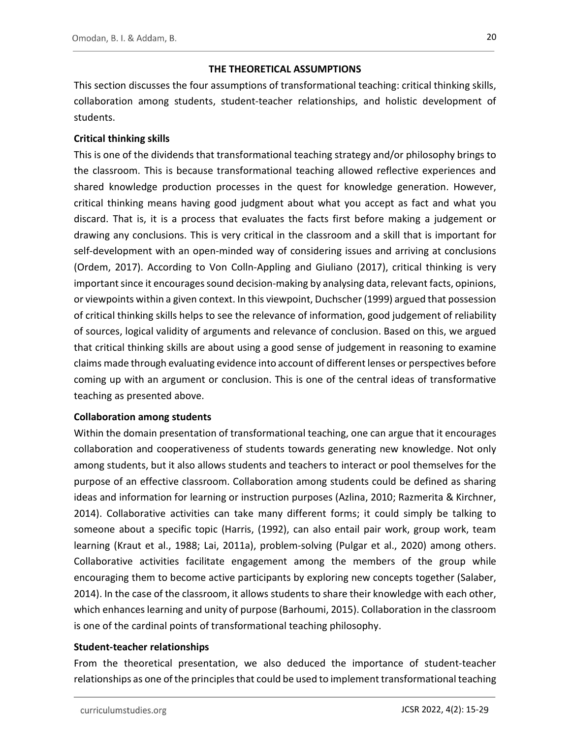# THE THEORETICAL ASSUMPTIONS

This section discusses the four assumptions of transformational teaching: critical thinking skills, collaboration among students, student-teacher relationships, and holistic development of students.

# Critical thinking skills

This is one of the dividends that transformational teaching strategy and/or philosophy brings to the classroom. This is because transformational teaching allowed reflective experiences and shared knowledge production processes in the quest for knowledge generation. However, critical thinking means having good judgment about what you accept as fact and what you discard. That is, it is a process that evaluates the facts first before making a judgement or drawing any conclusions. This is very critical in the classroom and a skill that is important for self-development with an open-minded way of considering issues and arriving at conclusions (Ordem, 2017). According to Von Colln-Appling and Giuliano (2017), critical thinking is very important since it encourages sound decision-making by analysing data, relevant facts, opinions, or viewpoints within a given context. In this viewpoint, Duchscher (1999) argued that possession of critical thinking skills helps to see the relevance of information, good judgement of reliability of sources, logical validity of arguments and relevance of conclusion. Based on this, we argued that critical thinking skills are about using a good sense of judgement in reasoning to examine claims made through evaluating evidence into account of different lenses or perspectives before coming up with an argument or conclusion. This is one of the central ideas of transformative teaching as presented above.

# Collaboration among students

Within the domain presentation of transformational teaching, one can argue that it encourages collaboration and cooperativeness of students towards generating new knowledge. Not only among students, but it also allows students and teachers to interact or pool themselves for the purpose of an effective classroom. Collaboration among students could be defined as sharing ideas and information for learning or instruction purposes (Azlina, 2010; Razmerita & Kirchner, 2014). Collaborative activities can take many different forms; it could simply be talking to someone about a specific topic (Harris, (1992), can also entail pair work, group work, team learning (Kraut et al., 1988; Lai, 2011a), problem-solving (Pulgar et al., 2020) among others. Collaborative activities facilitate engagement among the members of the group while encouraging them to become active participants by exploring new concepts together (Salaber, 2014). In the case of the classroom, it allows students to share their knowledge with each other, which enhances learning and unity of purpose (Barhoumi, 2015). Collaboration in the classroom is one of the cardinal points of transformational teaching philosophy.

Student-teacher relationships<br>From the theoretical presentation, we also deduced the importance of student-teacher relationships as one of the principles that could be used to implement transformational teaching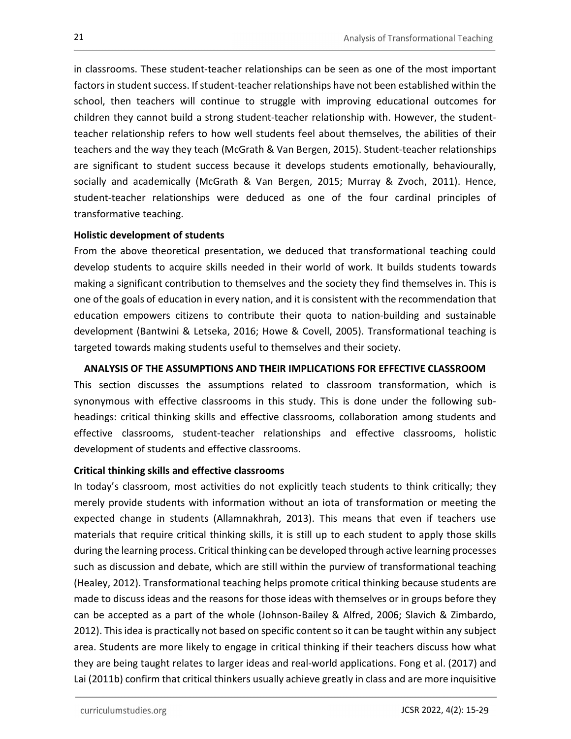in classrooms. These student-teacher relationships can be seen as one of the most important factors in student success. If student-teacher relationships have not been established within the school, then teachers will continue to struggle with improving educational outcomes for children they cannot build a strong student-teacher relationship with. However, the studentteacher relationship refers to how well students feel about themselves, the abilities of their teachers and the way they teach (McGrath & Van Bergen, 2015). Student-teacher relationships are significant to student success because it develops students emotionally, behaviourally, socially and academically (McGrath & Van Bergen, 2015; Murray & Zvoch, 2011). Hence, student-teacher relationships were deduced as one of the four cardinal principles of transformative teaching.

# Holistic development of students

From the above theoretical presentation, we deduced that transformational teaching could develop students to acquire skills needed in their world of work. It builds students towards making a significant contribution to themselves and the society they find themselves in. This is one of the goals of education in every nation, and it is consistent with the recommendation that education empowers citizens to contribute their quota to nation-building and sustainable development (Bantwini & Letseka, 2016; Howe & Covell, 2005). Transformational teaching is targeted towards making students useful to themselves and their society.

# ANALYSIS OF THE ASSUMPTIONS AND THEIR IMPLICATIONS FOR EFFECTIVE CLASSROOM

This section discusses the assumptions related to classroom transformation, which is synonymous with effective classrooms in this study. This is done under the following subheadings: critical thinking skills and effective classrooms, collaboration among students and effective classrooms, student-teacher relationships and effective classrooms, holistic development of students and effective classrooms.

# Critical thinking skills and effective classrooms

In today's classroom, most activities do not explicitly teach students to think critically; they merely provide students with information without an iota of transformation or meeting the expected change in students (Allamnakhrah, 2013). This means that even if teachers use materials that require critical thinking skills, it is still up to each student to apply those skills during the learning process. Critical thinking can be developed through active learning processes such as discussion and debate, which are still within the purview of transformational teaching (Healey, 2012). Transformational teaching helps promote critical thinking because students are made to discuss ideas and the reasons for those ideas with themselves or in groups before they can be accepted as a part of the whole (Johnson-Bailey & Alfred, 2006; Slavich & Zimbardo, 2012). This idea is practically not based on specific content so it can be taught within any subject area. Students are more likely to engage in critical thinking if their teachers discuss how what they are being taught relates to larger ideas and real-world applications. Fong et al. (2017) and Lai (2011b) confirm that critical thinkers usually achieve greatly in class and are more inquisitive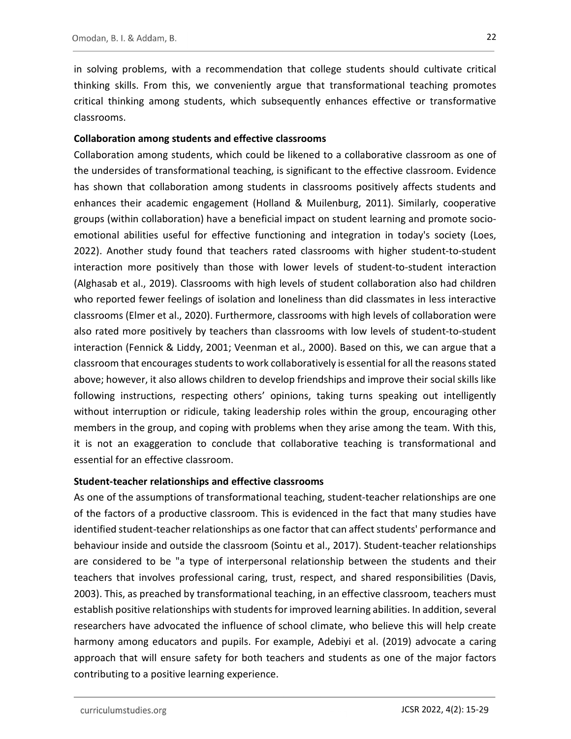in solving problems, with a recommendation that college students should cultivate critical thinking skills. From this, we conveniently argue that transformational teaching promotes critical thinking among students, which subsequently enhances effective or transformative classrooms.

#### Collaboration among students and effective classrooms

Collaboration among students, which could be likened to a collaborative classroom as one of the undersides of transformational teaching, is significant to the effective classroom. Evidence has shown that collaboration among students in classrooms positively affects students and enhances their academic engagement (Holland & Muilenburg, 2011). Similarly, cooperative groups (within collaboration) have a beneficial impact on student learning and promote socioemotional abilities useful for effective functioning and integration in today's society (Loes, 2022). Another study found that teachers rated classrooms with higher student-to-student interaction more positively than those with lower levels of student-to-student interaction (Alghasab et al., 2019). Classrooms with high levels of student collaboration also had children who reported fewer feelings of isolation and loneliness than did classmates in less interactive classrooms (Elmer et al., 2020). Furthermore, classrooms with high levels of collaboration were also rated more positively by teachers than classrooms with low levels of student-to-student interaction (Fennick & Liddy, 2001; Veenman et al., 2000). Based on this, we can argue that a classroom that encourages students to work collaboratively is essential for all the reasons stated above; however, it also allows children to develop friendships and improve their social skills like following instructions, respecting others' opinions, taking turns speaking out intelligently without interruption or ridicule, taking leadership roles within the group, encouraging other members in the group, and coping with problems when they arise among the team. With this, it is not an exaggeration to conclude that collaborative teaching is transformational and essential for an effective classroom.

# Student-teacher relationships and effective classrooms

As one of the assumptions of transformational teaching, student-teacher relationships are one of the factors of a productive classroom. This is evidenced in the fact that many studies have identified student-teacher relationships as one factor that can affect students' performance and behaviour inside and outside the classroom (Sointu et al., 2017). Student-teacher relationships are considered to be "a type of interpersonal relationship between the students and their teachers that involves professional caring, trust, respect, and shared responsibilities (Davis, 2003). This, as preached by transformational teaching, in an effective classroom, teachers must establish positive relationships with students for improved learning abilities. In addition, several researchers have advocated the influence of school climate, who believe this will help create harmony among educators and pupils. For example, Adebiyi et al. (2019) advocate a caring approach that will ensure safety for both teachers and students as one of the major factors contributing to a positive learning experience.

curriculumstudies.org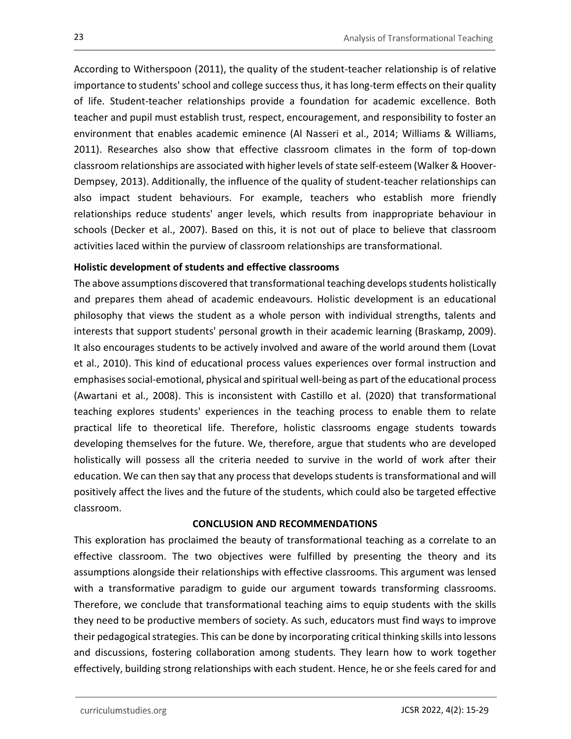According to Witherspoon (2011), the quality of the student-teacher relationship is of relative importance to students' school and college success thus, it has long-term effects on their quality of life. Student-teacher relationships provide a foundation for academic excellence. Both teacher and pupil must establish trust, respect, encouragement, and responsibility to foster an environment that enables academic eminence (Al Nasseri et al., 2014; Williams & Williams, 2011). Researches also show that effective classroom climates in the form of top-down classroom relationships are associated with higher levels of state self-esteem (Walker & Hoover-Dempsey, 2013). Additionally, the influence of the quality of student-teacher relationships can also impact student behaviours. For example, teachers who establish more friendly relationships reduce students' anger levels, which results from inappropriate behaviour in schools (Decker et al., 2007). Based on this, it is not out of place to believe that classroom activities laced within the purview of classroom relationships are transformational.

# Holistic development of students and effective classrooms

The above assumptions discovered that transformational teaching develops students holistically and prepares them ahead of academic endeavours. Holistic development is an educational philosophy that views the student as a whole person with individual strengths, talents and interests that support students' personal growth in their academic learning (Braskamp, 2009). It also encourages students to be actively involved and aware of the world around them (Lovat et al., 2010). This kind of educational process values experiences over formal instruction and emphasises social-emotional, physical and spiritual well-being as part of the educational process (Awartani et al., 2008). This is inconsistent with Castillo et al. (2020) that transformational teaching explores students' experiences in the teaching process to enable them to relate practical life to theoretical life. Therefore, holistic classrooms engage students towards developing themselves for the future. We, therefore, argue that students who are developed holistically will possess all the criteria needed to survive in the world of work after their education. We can then say that any process that develops students is transformational and will positively affect the lives and the future of the students, which could also be targeted effective classroom.

# CONCLUSION AND RECOMMENDATIONS

This exploration has proclaimed the beauty of transformational teaching as a correlate to an effective classroom. The two objectives were fulfilled by presenting the theory and its assumptions alongside their relationships with effective classrooms. This argument was lensed with a transformative paradigm to guide our argument towards transforming classrooms. Therefore, we conclude that transformational teaching aims to equip students with the skills they need to be productive members of society. As such, educators must find ways to improve their pedagogical strategies. This can be done by incorporating critical thinking skills into lessons and discussions, fostering collaboration among students. They learn how to work together effectively, building strong relationships with each student. Hence, he or she feels cared for and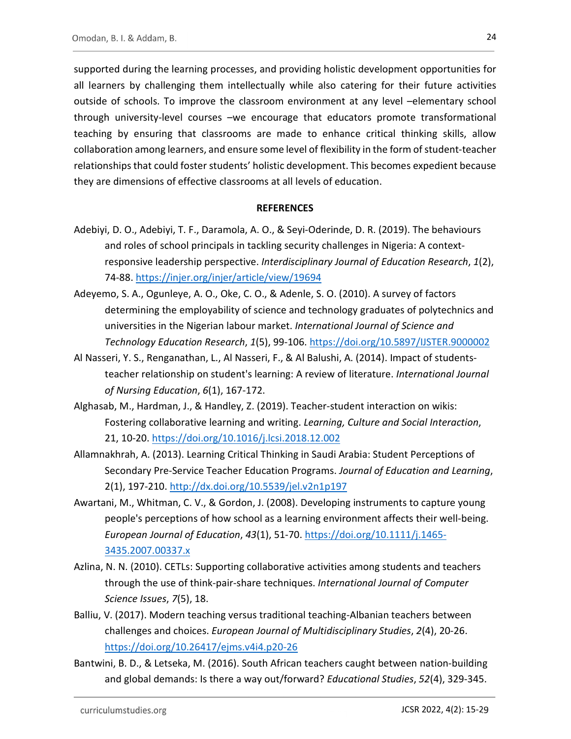supported during the learning processes, and providing holistic development opportunities for all learners by challenging them intellectually while also catering for their future activities outside of schools. To improve the classroom environment at any level –elementary school through university-level courses –we encourage that educators promote transformational teaching by ensuring that classrooms are made to enhance critical thinking skills, allow collaboration among learners, and ensure some level of flexibility in the form of student-teacher relationships that could foster students' holistic development. This becomes expedient because they are dimensions of effective classrooms at all levels of education.

#### **REFERENCES**

- Adebiyi, D. O., Adebiyi, T. F., Daramola, A. O., & Seyi-Oderinde, D. R. (2019). The behaviours and roles of school principals in tackling security challenges in Nigeria: A contextresponsive leadership perspective. Interdisciplinary Journal of Education Research, 1(2), 74-88. https://injer.org/injer/article/view/19694 Adeyemo, S. A., Ogunleye, A. O., Oke, C. O., & Adenle, S. O. (2010). A survey of factors
- determining the employability of science and technology graduates of polytechnics and universities in the Nigerian labour market. International Journal of Science and Technology Education Research, 1(5), 99-106. https://doi.org/10.5897/IJSTER.9000002<br>Al Nasseri, Y. S., Renganathan, L., Al Nasseri, F., & Al Balushi, A. (2014). Impact of students-
- teacher relationship on student's learning: A review of literature. International Journal of Nursing Education, 6(1), 167-172.
- Alghasab, M., Hardman, J., & Handley, Z. (2019). Teacher-student interaction on wikis: Fostering collaborative learning and writing. Learning, Culture and Social Interaction,<br>21, 10-20. https://doi.org/10.1016/j.lcsi.2018.12.002<br>Allamnakhrah, A. (2013). Learning Critical Thinking in Saudi Arabia: Student Per
- Secondary Pre-Service Teacher Education Programs. Journal of Education and Learning,<br>2(1), 197-210. http://dx.doi.org/10.5539/jel.v2n1p197<br>Awartani, M., Whitman, C. V., & Gordon, J. (2008). Developing instruments to captur
- people's perceptions of how school as a learning environment affects their well-being. European Journal of Education, 43(1), 51-70. https://doi.org/10.1111/j.1465- 3435.2007.00337.x Azlina, N. N. (2010). CETLs: Supporting collaborative activities among students and teachers
- through the use of think-pair-share techniques. International Journal of Computer Science Issues, 7(5), 18.
- Balliu, V. (2017). Modern teaching versus traditional teaching-Albanian teachers between challenges and choices. European Journal of Multidisciplinary Studies, 2(4), 20-26. https://doi.org/10.26417/ejms.v4i4.p20-26<br>Bantwini, B. D., & Letseka, M. (2016). South African teachers caught between nation-building
- and global demands: Is there a way out/forward? Educational Studies, 52(4), 329-345.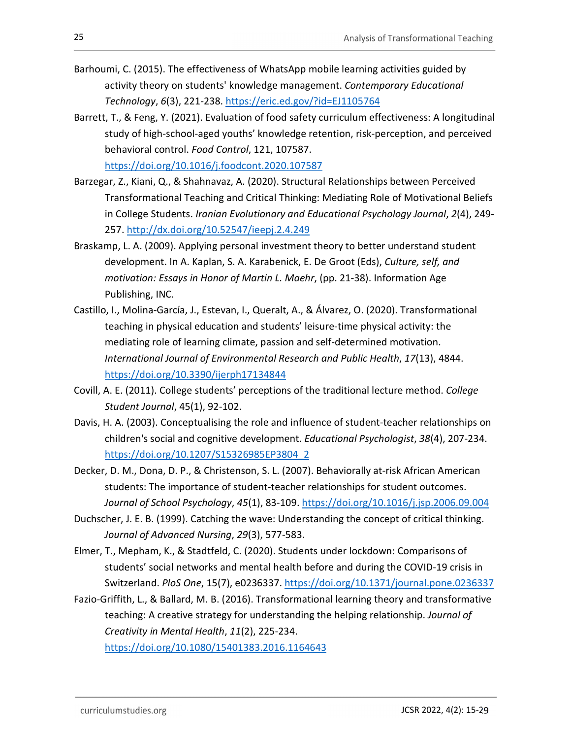- Barhoumi, C. (2015). The effectiveness of WhatsApp mobile learning activities guided by activity theory on students' knowledge management. Contemporary Educational
- Technology, 6(3), 221-238. https://eric.ed.gov/?id=EJ1105764<br>Barrett, T., & Feng, Y. (2021). Evaluation of food safety curriculum effectiveness: A longitudinal study of high-school-aged youths' knowledge retention, risk-perception, and perceived behavioral control. Food Control, 121, 107587.

- https://doi.org/10.1016/j.foodcont.2020.107587 Barzegar, Z., Kiani, Q., & Shahnavaz, A. (2020). Structural Relationships between Perceived Transformational Teaching and Critical Thinking: Mediating Role of Motivational Beliefs in College Students. Iranian Evolutionary and Educational Psychology Journal, 2(4), 249- 257. http://dx.doi.org/10.52547/ieepj.2.4.249<br>Braskamp, L. A. (2009). Applying personal investment theory to better understand student
- development. In A. Kaplan, S. A. Karabenick, E. De Groot (Eds), Culture, self, and motivation: Essays in Honor of Martin L. Maehr, (pp. 21-38). Information Age Publishing, INC.
- Castillo, I., Molina-García, J., Estevan, I., Queralt, A., & Álvarez, O. (2020). Transformational teaching in physical education and students' leisure-time physical activity: the mediating role of learning climate, passion and self-determined motivation. International Journal of Environmental Research and Public Health, 17(13), 4844. https://doi.org/10.3390/ijerph17134844<br>Covill, A. E. (2011). College students' perceptions of the traditional lecture method. College
- Student Journal, 45(1), 92-102.
- Davis, H. A. (2003). Conceptualising the role and influence of student-teacher relationships on children's social and cognitive development. Educational Psychologist, 38(4), 207-234. https://doi.org/10.1207/S15326985EP3804\_2 Decker, D. M., Dona, D. P., & Christenson, S. L. (2007). Behaviorally at-risk African American
- students: The importance of student-teacher relationships for student outcomes. Journal of School Psychology, 45(1), 83-109. https://doi.org/10.1016/j.jsp.2006.09.004<br>Duchscher, J. E. B. (1999). Catching the wave: Understanding the concept of critical thinking.
- Journal of Advanced Nursing, 29(3), 577-583.
- Elmer, T., Mepham, K., & Stadtfeld, C. (2020). Students under lockdown: Comparisons of students' social networks and mental health before and during the COVID-19 crisis in Switzerland. *PloS One*, 15(7), e0236337. https://doi.org/10.1371/journal.pone.0236337<br>Fazio-Griffith, L., & Ballard, M. B. (2016). Transformational learning theory and transformative
- teaching: A creative strategy for understanding the helping relationship. Journal of Creativity in Mental Health, 11(2), 225-234.

https://doi.org/10.1080/15401383.2016.1164643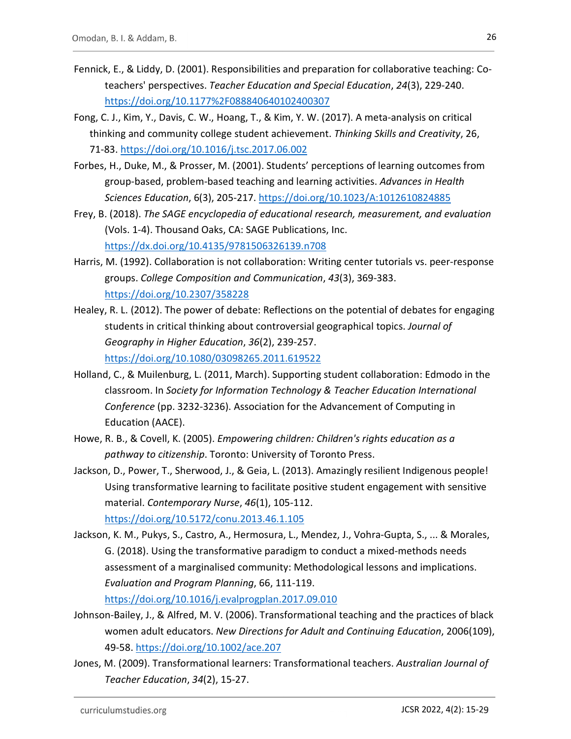- Fennick, E., & Liddy, D. (2001). Responsibilities and preparation for collaborative teaching: Coteachers' perspectives. Teacher Education and Special Education, 24(3), 229-240.
- https://doi.org/10.1177%2F088840640102400307 Fong, C. J., Kim, Y., Davis, C. W., Hoang, T., & Kim, Y. W. (2017). A meta-analysis on critical thinking and community college student achievement. Thinking Skills and Creativity, 26,
- 71-83. https://doi.org/10.1016/j.tsc.2017.06.002<br>Forbes, H., Duke, M., & Prosser, M. (2001). Students' perceptions of learning outcomes from group-based, problem-based teaching and learning activities. Advances in Health Sciences Education, 6(3), 205-217. <u>https://doi.org/10.1023/A:1012610824885</u><br>Frey, B. (2018). The SAGE encyclopedia of educational research, measurement, and evaluation
- (Vols. 1-4). Thousand Oaks, CA: SAGE Publications, Inc. https://dx.doi.org/10.4135/9781506326139.n708 Harris, M. (1992). Collaboration is not collaboration: Writing center tutorials vs. peer-response
- groups. College Composition and Communication, 43(3), 369-383. https://doi.org/10.2307/358228 Healey, R. L. (2012). The power of debate: Reflections on the potential of debates for engaging
- students in critical thinking about controversial geographical topics. Journal of Geography in Higher Education, 36(2), 239-257. https://doi.org/10.1080/03098265.2011.619522 Holland, C., & Muilenburg, L. (2011, March). Supporting student collaboration: Edmodo in the
- classroom. In Society for Information Technology & Teacher Education International Conference (pp. 3232-3236). Association for the Advancement of Computing in Education (AACE).
- Howe, R. B., & Covell, K. (2005). Empowering children: Children's rights education as a pathway to citizenship. Toronto: University of Toronto Press.
- Jackson, D., Power, T., Sherwood, J., & Geia, L. (2013). Amazingly resilient Indigenous people! Using transformative learning to facilitate positive student engagement with sensitive material. Contemporary Nurse, 46(1), 105-112.

https://doi.org/10.5172/conu.2013.46.1.105<br>Jackson, K. M., Pukys, S., Castro, A., Hermosura, L., Mendez, J., Vohra-Gupta, S., ... & Morales, G. (2018). Using the transformative paradigm to conduct a mixed-methods needs assessment of a marginalised community: Methodological lessons and implications. Evaluation and Program Planning, 66, 111-119.

- https://doi.org/10.1016/j.evalprogplan.2017.09.010 Johnson-Bailey, J., & Alfred, M. V. (2006). Transformational teaching and the practices of black women adult educators. New Directions for Adult and Continuing Education, 2006(109), 49-58. https://doi.org/10.1002/ace.207<br>Jones, M. (2009). Transformational learners: Transformational teachers. Australian Journal of
- Teacher Education, 34(2), 15-27.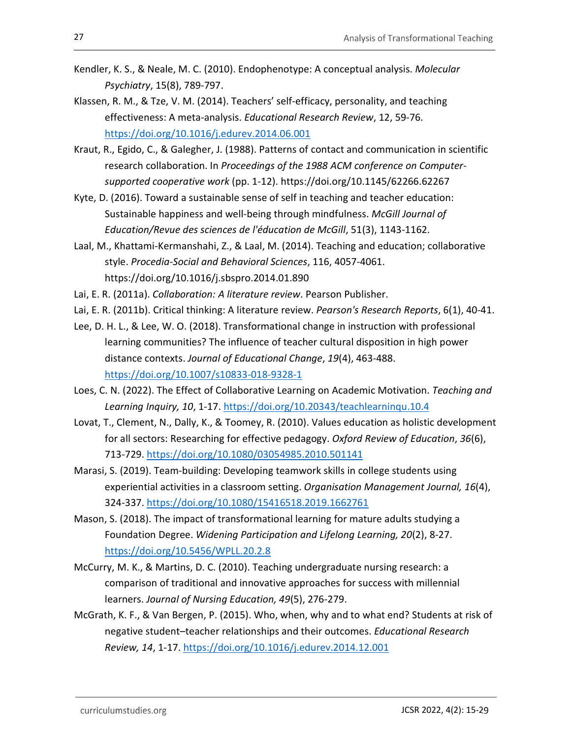- Kendler, K. S., & Neale, M. C. (2010). Endophenotype: A conceptual analysis. Molecular Psychiatry, 15(8), 789-797.
- Klassen, R. M., & Tze, V. M. (2014). Teachers' self-efficacy, personality, and teaching effectiveness: A meta-analysis. Educational Research Review, 12, 59-76. https://doi.org/10.1016/j.edurev.2014.06.001 Kraut, R., Egido, C., & Galegher, J. (1988). Patterns of contact and communication in scientific
- research collaboration. In Proceedings of the 1988 ACM conference on Computersupported cooperative work (pp. 1-12). https://doi.org/10.1145/62266.62267
- Kyte, D. (2016). Toward a sustainable sense of self in teaching and teacher education: Sustainable happiness and well-being through mindfulness. McGill Journal of Education/Revue des sciences de l'éducation de McGill, 51(3), 1143-1162.
- Laal, M., Khattami-Kermanshahi, Z., & Laal, M. (2014). Teaching and education; collaborative style. Procedia-Social and Behavioral Sciences, 116, 4057-4061. https://doi.org/10.1016/j.sbspro.2014.01.890
- Lai, E. R. (2011a). Collaboration: A literature review. Pearson Publisher.
- Lai, E. R. (2011b). Critical thinking: A literature review. Pearson's Research Reports, 6(1), 40-41.
- Lee, D. H. L., & Lee, W. O. (2018). Transformational change in instruction with professional learning communities? The influence of teacher cultural disposition in high power distance contexts. Journal of Educational Change, 19(4), 463-488. https://doi.org/10.1007/s10833-018-9328-1<br>Loes, C. N. (2022). The Effect of Collaborative Learning on Academic Motivation. Teaching and
- Learning Inquiry, 10, 1-17. https://doi.org/10.20343/teachlearninqu.10.4<br>Lovat, T., Clement, N., Dally, K., & Toomey, R. (2010). Values education as holistic development
- for all sectors: Researching for effective pedagogy. Oxford Review of Education, 36(6), 713-729. https://doi.org/10.1080/03054985.2010.501141 Marasi, S. (2019). Team-building: Developing teamwork skills in college students using
- experiential activities in a classroom setting. Organisation Management Journal, 16(4), 324-337. https://doi.org/10.1080/15416518.2019.1662761<br>Mason, S. (2018). The impact of transformational learning for mature adults studying a
- Foundation Degree. Widening Participation and Lifelong Learning, 20(2), 8-27. https://doi.org/10.5456/WPLL.20.2.8 McCurry, M. K., & Martins, D. C. (2010). Teaching undergraduate nursing research: a
- comparison of traditional and innovative approaches for success with millennial learners. Journal of Nursing Education, 49(5), 276-279.
- McGrath, K. F., & Van Bergen, P. (2015). Who, when, why and to what end? Students at risk of negative student–teacher relationships and their outcomes. Educational Research Review, 14, 1-17. https://doi.org/10.1016/j.edurev.2014.12.001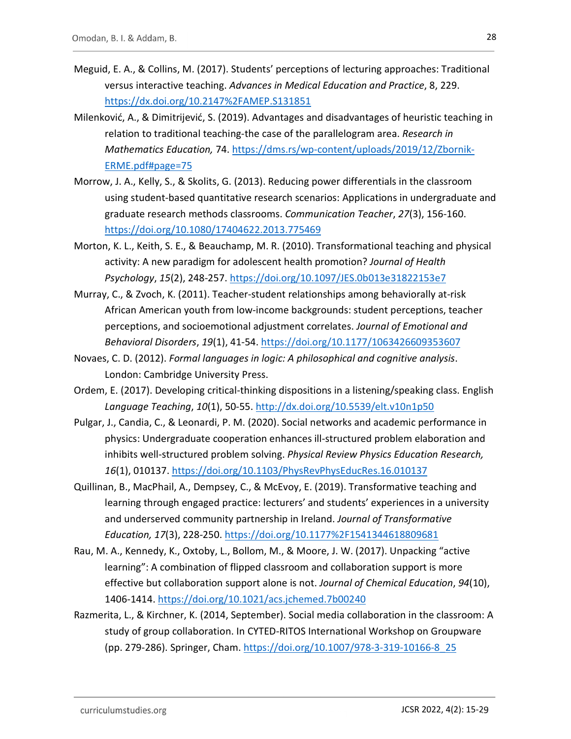- Meguid, E. A., & Collins, M. (2017). Students' perceptions of lecturing approaches: Traditional versus interactive teaching. Advances in Medical Education and Practice, 8, 229.
- https://dx.doi.org/10.2147%2FAMEP.S131851 Milenković, A., & Dimitrijević, S. (2019). Advantages and disadvantages of heuristic teaching in relation to traditional teaching-the case of the parallelogram area. Research in Mathematics Education, 74. https://dms.rs/wp-content/uploads/2019/12/Zbornik-ERME.pdf#page=75 Morrow, J. A., Kelly, S., & Skolits, G. (2013). Reducing power differentials in the classroom
- using student-based quantitative research scenarios: Applications in undergraduate and graduate research methods classrooms. Communication Teacher, 27(3), 156-160. https://doi.org/10.1080/17404622.2013.775469 Morton, K. L., Keith, S. E., & Beauchamp, M. R. (2010). Transformational teaching and physical
- activity: A new paradigm for adolescent health promotion? Journal of Health Psychology, 15(2), 248-257. https://doi.org/10.1097/JES.0b013e31822153e7 Murray, C., & Zvoch, K. (2011). Teacher-student relationships among behaviorally at-risk
- African American youth from low-income backgrounds: student perceptions, teacher perceptions, and socioemotional adjustment correlates. Journal of Emotional and
- Behavioral Disorders, 19(1), 41-54. https://doi.org/10.1177/1063426609353607<br>Novaes, C. D. (2012). Formal languages in logic: A philosophical and cognitive analysis.<br>London: Cambridge University Press.
- Ordem, E. (2017). Developing critical-thinking dispositions in a listening/speaking class. English Language Teaching, 10(1), 50-55. http://dx.doi.org/10.5539/elt.v10n1p50<br>Pulgar, J., Candia, C., & Leonardi, P. M. (2020). Social networks and academic performance in
- physics: Undergraduate cooperation enhances ill-structured problem elaboration and inhibits well-structured problem solving. Physical Review Physics Education Research, 16(1), 010137. https://doi.org/10.1103/PhysRevPhysEducRes.16.010137<br>Quillinan, B., MacPhail, A., Dempsey, C., & McEvoy, E. (2019). Transformative teaching and
- learning through engaged practice: lecturers' and students' experiences in a university and underserved community partnership in Ireland. Journal of Transformative
- Education, 17(3), 228-250. https://doi.org/10.1177%2F1541344618809681<br>Rau, M. A., Kennedy, K., Oxtoby, L., Bollom, M., & Moore, J. W. (2017). Unpacking "active learning": A combination of flipped classroom and collaboration support is more effective but collaboration support alone is not. Journal of Chemical Education, 94(10), 1406-1414. https://doi.org/10.1021/acs.jchemed.7b00240 Razmerita, L., & Kirchner, K. (2014, September). Social media collaboration in the classroom: A
- study of group collaboration. In CYTED-RITOS International Workshop on Groupware (pp. 279-286). Springer, Cham. https://doi.org/10.1007/978-3-319-10166-8\_25